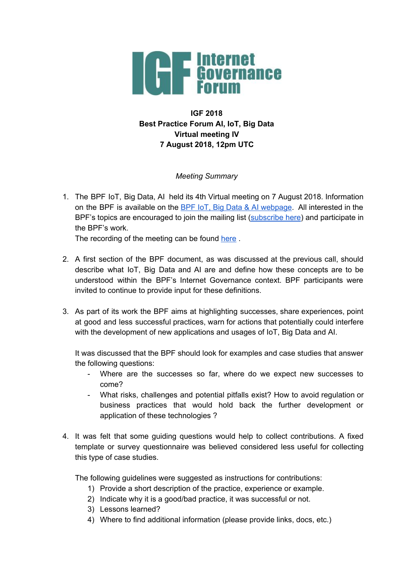

# **IGF 2018 Best Practice Forum AI, IoT, Big Data Virtual meeting IV 7 August 2018, 12pm UTC**

## *Meeting Summary*

1. The BPF IoT, Big Data, AI held its 4th Virtual meeting on 7 August 2018. Information on the BPF is available on the BPF IoT, Big Data & AI [webpage](https://www.intgovforum.org/multilingual/content/bpf-artificial-intelligence-ai-internet-of-things-iot-and-big-data). All interested in the BPF's topics are encouraged to join the mailing list [\(subscribe](https://intgovforum.org/mailman/listinfo/aiiotbd_intgovforum.org) here) and participate in the BPF's work.

The recording of the meeting can be found [here](https://intgovforum.webex.com/intgovforum/ldr.php?RCID=be211cc74537dce90394fedaf977ba1b).

- 2. A first section of the BPF document, as was discussed at the previous call, should describe what IoT, Big Data and AI are and define how these concepts are to be understood within the BPF's Internet Governance context. BPF participants were invited to continue to provide input for these definitions.
- 3. As part of its work the BPF aims at highlighting successes, share experiences, point at good and less successful practices, warn for actions that potentially could interfere with the development of new applications and usages of IoT, Big Data and AI.

It was discussed that the BPF should look for examples and case studies that answer the following questions:

- Where are the successes so far, where do we expect new successes to come?
- What risks, challenges and potential pitfalls exist? How to avoid regulation or business practices that would hold back the further development or application of these technologies ?
- 4. It was felt that some guiding questions would help to collect contributions. A fixed template or survey questionnaire was believed considered less useful for collecting this type of case studies.

The following guidelines were suggested as instructions for contributions:

- 1) Provide a short description of the practice, experience or example.
- 2) Indicate why it is a good/bad practice, it was successful or not.
- 3) Lessons learned?
- 4) Where to find additional information (please provide links, docs, etc.)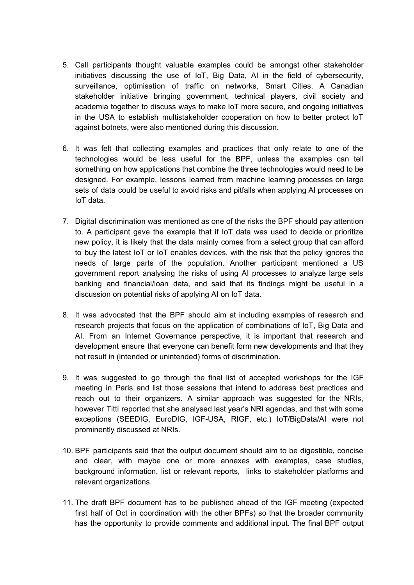- 5. Call participants thought valuable examples could be amongst other stakeholder initiatives discussing the use of IoT, Big Data, AI in the field of cybersecurity, surveillance, optimisation of traffic on networks, Smart Cities. A Canadian stakeholder initiative bringing government, technical players, civil society and academia together to discuss ways to make IoT more secure, and ongoing initiatives in the USA to establish multistakeholder cooperation on how to better protect IoT against botnets, were also mentioned during this discussion.
- 6. It was felt that collecting examples and practices that only relate to one of the technologies would be less useful for the BPF, unless the examples can tell something on how applications that combine the three technologies would need to be designed. For example, lessons learned from machine learning processes on large sets of data could be useful to avoid risks and pitfalls when applying AI processes on IoT data.
- 7. Digital discrimination was mentioned as one of the risks the BPF should pay attention to. A participant gave the example that if IoT data was used to decide or prioritize new policy, it is likely that the data mainly comes from a select group that can afford to buy the latest IoT or IoT enables devices, with the risk that the policy ignores the needs of large parts of the population. Another participant mentioned a US government report analysing the risks of using AI processes to analyze large sets banking and financial/loan data, and said that its findings might be useful in a discussion on potential risks of applying AI on IoT data.
- 8. It was advocated that the BPF should aim at including examples of research and research projects that focus on the application of combinations of IoT, Big Data and AI. From an Internet Governance perspective, it is important that research and development ensure that everyone can benefit form new developments and that they not result in (intended or unintended) forms of discrimination.
- 9. It was suggested to go through the final list of accepted workshops for the IGF meeting in Paris and list those sessions that intend to address best practices and reach out to their organizers. A similar approach was suggested for the NRIs, however Titti reported that she analysed last year's NRI agendas, and that with some exceptions (SEEDIG, EuroDIG, IGF-USA, RIGF, etc.) IoT/BigData/AI were not prominently discussed at NRIs.
- 10. BPF participants said that the output document should aim to be digestible, concise and clear, with maybe one or more annexes with examples, case studies, background information, list or relevant reports, links to stakeholder platforms and relevant organizations.
- 11. The draft BPF document has to be published ahead of the IGF meeting (expected first half of Oct in coordination with the other BPFs) so that the broader community has the opportunity to provide comments and additional input. The final BPF output